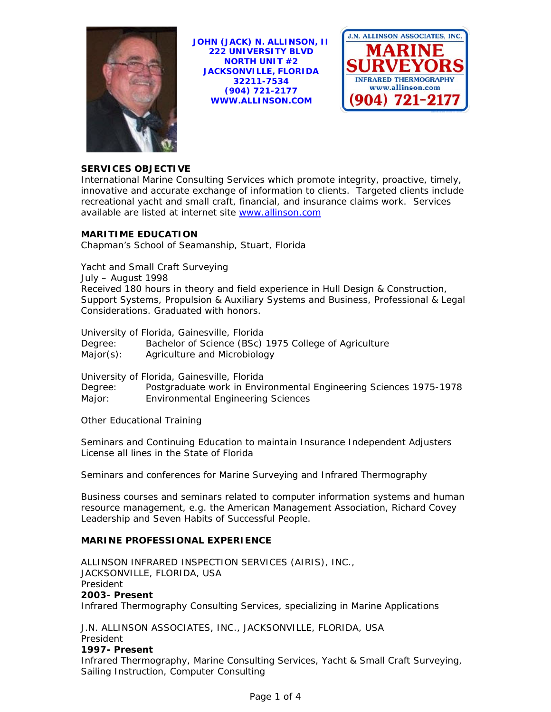

**JOHN (JACK) N. ALLINSON, II 222 UNIVERSITY BLVD NORTH UNIT #2 JACKSONVILLE, FLORIDA 32211-7534 (904) 721-2177 WWW.ALLINSON.COM** 



# **SERVICES OBJECTIVE**

International Marine Consulting Services which promote integrity, proactive, timely, innovative and accurate exchange of information to clients. Targeted clients include recreational yacht and small craft, financial, and insurance claims work. Services available are listed at internet site www.allinson.com

# **MARITIME EDUCATION**

Chapman's School of Seamanship, Stuart, Florida

Yacht and Small Craft Surveying July – August 1998 Received 180 hours in theory and field experience in Hull Design & Construction, Support Systems, Propulsion & Auxiliary Systems and Business, Professional & Legal Considerations. Graduated with honors.

University of Florida, Gainesville, Florida

Degree: Bachelor of Science (BSc) 1975 College of Agriculture Major(s): Agriculture and Microbiology

University of Florida, Gainesville, Florida

Degree: Postgraduate work in Environmental Engineering Sciences 1975-1978 Major: Environmental Engineering Sciences

Other Educational Training

Seminars and Continuing Education to maintain Insurance Independent Adjusters License all lines in the State of Florida

Seminars and conferences for Marine Surveying and Infrared Thermography

Business courses and seminars related to computer information systems and human resource management, e.g. the American Management Association, Richard Covey Leadership and Seven Habits of Successful People.

# **MARINE PROFESSIONAL EXPERIENCE**

ALLINSON INFRARED INSPECTION SERVICES (AIRIS), INC., JACKSONVILLE, FLORIDA, USA President **2003- Present**  Infrared Thermography Consulting Services, specializing in Marine Applications

J.N. ALLINSON ASSOCIATES, INC., JACKSONVILLE, FLORIDA, USA President

# **1997- Present**

Infrared Thermography, Marine Consulting Services, Yacht & Small Craft Surveying, Sailing Instruction, Computer Consulting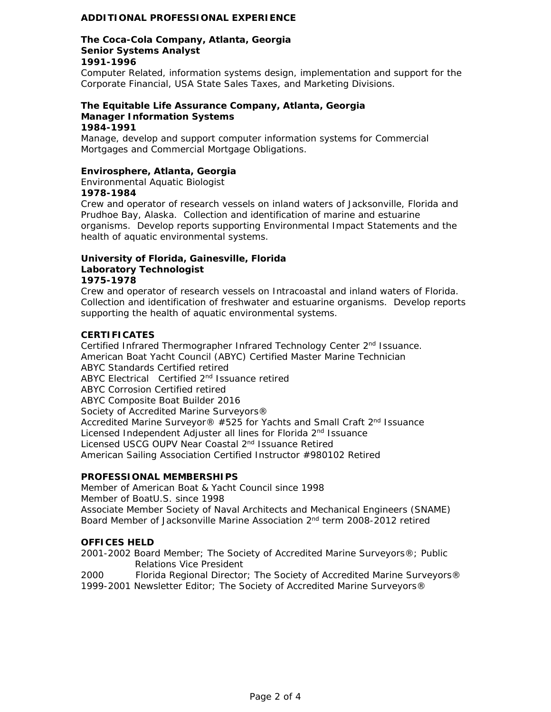# **ADDITIONAL PROFESSIONAL EXPERIENCE**

#### **The Coca-Cola Company, Atlanta, Georgia Senior Systems Analyst 1991-1996**

Computer Related, information systems design, implementation and support for the Corporate Financial, USA State Sales Taxes, and Marketing Divisions.

#### **The Equitable Life Assurance Company, Atlanta, Georgia Manager Information Systems 1984-1991**

Manage, develop and support computer information systems for Commercial Mortgages and Commercial Mortgage Obligations.

#### **Envirosphere, Atlanta, Georgia**

Environmental Aquatic Biologist **1978-1984** 

Crew and operator of research vessels on inland waters of Jacksonville, Florida and Prudhoe Bay, Alaska. Collection and identification of marine and estuarine organisms. Develop reports supporting Environmental Impact Statements and the health of aquatic environmental systems.

### **University of Florida, Gainesville, Florida Laboratory Technologist 1975-1978**

Crew and operator of research vessels on Intracoastal and inland waters of Florida. Collection and identification of freshwater and estuarine organisms. Develop reports supporting the health of aquatic environmental systems.

### **CERTIFICATES**

Certified Infrared Thermographer Infrared Technology Center 2<sup>nd</sup> Issuance. American Boat Yacht Council (ABYC) Certified Master Marine Technician ABYC Standards Certified retired ABYC Electrical Certified 2nd Issuance retired ABYC Corrosion Certified retired ABYC Composite Boat Builder 2016 Society of Accredited Marine Surveyors® Accredited Marine Surveyor<sup>®</sup> #525 for Yachts and Small Craft 2<sup>nd</sup> Issuance Licensed Independent Adjuster all lines for Florida 2<sup>nd</sup> Issuance Licensed USCG OUPV Near Coastal 2nd Issuance Retired American Sailing Association Certified Instructor #980102 Retired

# **PROFESSIONAL MEMBERSHIPS**

Member of American Boat & Yacht Council since 1998 Member of BoatU.S. since 1998 Associate Member Society of Naval Architects and Mechanical Engineers (SNAME) Board Member of Jacksonville Marine Association 2nd term 2008-2012 retired

# **OFFICES HELD**

2001-2002 Board Member; The Society of Accredited Marine Surveyors®; Public Relations Vice President

2000 Florida Regional Director; The Society of Accredited Marine Surveyors® 1999-2001 Newsletter Editor; The Society of Accredited Marine Surveyors®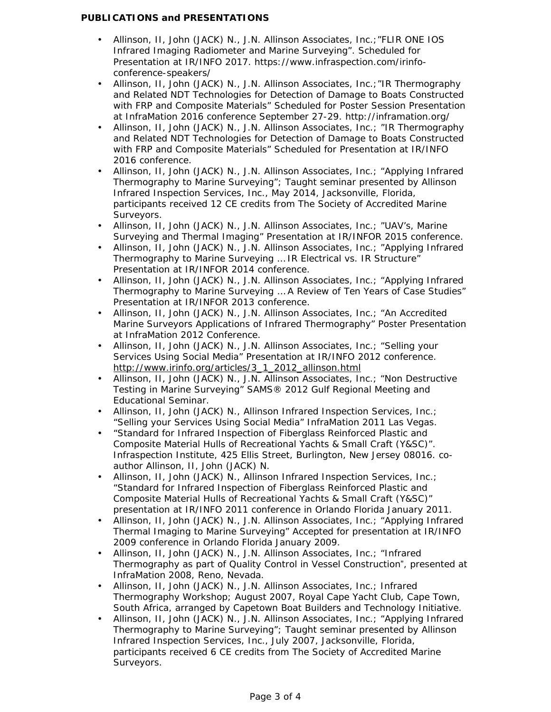# **PUBLICATIONS and PRESENTATIONS**

- Allinson, II, John (JACK) N., J.N. Allinson Associates, Inc.;"FLIR ONE IOS Infrared Imaging Radiometer and Marine Surveying". Scheduled for Presentation at IR/INFO 2017. https://www.infraspection.com/irinfoconference-speakers/
- Allinson, II, John (JACK) N., J.N. Allinson Associates, Inc.;"IR Thermography and Related NDT Technologies for Detection of Damage to Boats Constructed with FRP and Composite Materials" Scheduled for Poster Session Presentation at InfraMation 2016 conference September 27-29. http://inframation.org/
- Allinson, II, John (JACK) N., J.N. Allinson Associates, Inc.; "IR Thermography and Related NDT Technologies for Detection of Damage to Boats Constructed with FRP and Composite Materials" Scheduled for Presentation at IR/INFO 2016 conference.
- Allinson, II, John (JACK) N., J.N. Allinson Associates, Inc.; "Applying Infrared Thermography to Marine Surveying"; Taught seminar presented by Allinson Infrared Inspection Services, Inc., May 2014, Jacksonville, Florida, participants received 12 CE credits from The Society of Accredited Marine Surveyors.
- Allinson, II, John (JACK) N., J.N. Allinson Associates, Inc.; "UAV's, Marine Surveying and Thermal Imaging" Presentation at IR/INFOR 2015 conference.
- Allinson, II, John (JACK) N., J.N. Allinson Associates, Inc.; "Applying Infrared Thermography to Marine Surveying … IR Electrical vs. IR Structure" Presentation at IR/INFOR 2014 conference.
- Allinson, II, John (JACK) N., J.N. Allinson Associates, Inc.; "Applying Infrared Thermography to Marine Surveying … A Review of Ten Years of Case Studies" Presentation at IR/INFOR 2013 conference.
- Allinson, II, John (JACK) N., J.N. Allinson Associates, Inc.; "An Accredited Marine Surveyors Applications of Infrared Thermography" Poster Presentation at InfraMation 2012 Conference.
- Allinson, II, John (JACK) N., J.N. Allinson Associates, Inc.; "Selling your Services Using Social Media" Presentation at IR/INFO 2012 conference. http://www.irinfo.org/articles/3\_1\_2012\_allinson.html
- Allinson, II, John (JACK) N., J.N. Allinson Associates, Inc.; "Non Destructive Testing in Marine Surveying" SAMS® 2012 Gulf Regional Meeting and Educational Seminar.
- Allinson, II, John (JACK) N., Allinson Infrared Inspection Services, Inc.; "Selling your Services Using Social Media" InfraMation 2011 Las Vegas.
- "Standard for Infrared Inspection of Fiberglass Reinforced Plastic and Composite Material Hulls of Recreational Yachts & Small Craft (Y&SC)". Infraspection Institute, 425 Ellis Street, Burlington, New Jersey 08016. coauthor Allinson, II, John (JACK) N.
- Allinson, II, John (JACK) N., Allinson Infrared Inspection Services, Inc.; "Standard for Infrared Inspection of Fiberglass Reinforced Plastic and Composite Material Hulls of Recreational Yachts & Small Craft (Y&SC)" presentation at IR/INFO 2011 conference in Orlando Florida January 2011.
- Allinson, II, John (JACK) N., J.N. Allinson Associates, Inc.; "Applying Infrared Thermal Imaging to Marine Surveying" Accepted for presentation at IR/INFO 2009 conference in Orlando Florida January 2009.
- Allinson, II, John (JACK) N., J.N. Allinson Associates, Inc.; "Infrared Thermography as part of Quality Control in Vessel Construction", presented at InfraMation 2008, Reno, Nevada.
- Allinson, II, John (JACK) N., J.N. Allinson Associates, Inc.; Infrared Thermography Workshop; August 2007, Royal Cape Yacht Club, Cape Town, South Africa, arranged by Capetown Boat Builders and Technology Initiative.
- Allinson, II, John (JACK) N., J.N. Allinson Associates, Inc.; "Applying Infrared Thermography to Marine Surveying"; Taught seminar presented by Allinson Infrared Inspection Services, Inc., July 2007, Jacksonville, Florida, participants received 6 CE credits from The Society of Accredited Marine Surveyors.